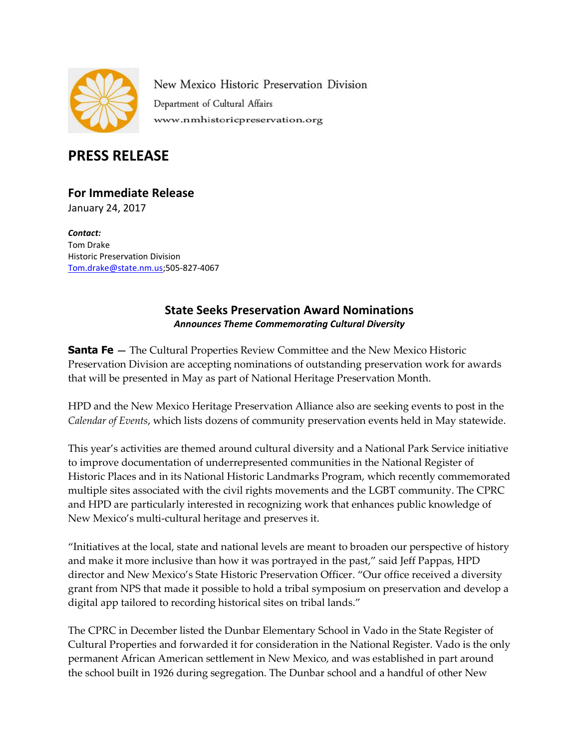

New Mexico Historic Preservation Division Department of Cultural Affairs www.nmhistoricpreservation.org

## **PRESS RELEASE**

## **For Immediate Release**

January 24, 2017

*Contact:* Tom Drake Historic Preservation Division [Tom.drake@state.nm.us;](mailto:Tom.drake@state.nm.us)505-827-4067

## **State Seeks Preservation Award Nominations**  *Announces Theme Commemorating Cultural Diversity*

**Santa Fe** – The Cultural Properties Review Committee and the New Mexico Historic Preservation Division are accepting nominations of outstanding preservation work for awards that will be presented in May as part of National Heritage Preservation Month.

HPD and the New Mexico Heritage Preservation Alliance also are seeking events to post in the *Calendar of Events*, which lists dozens of community preservation events held in May statewide.

This year's activities are themed around cultural diversity and a National Park Service initiative to improve documentation of underrepresented communities in the National Register of Historic Places and in its National Historic Landmarks Program, which recently commemorated multiple sites associated with the civil rights movements and the LGBT community. The CPRC and HPD are particularly interested in recognizing work that enhances public knowledge of New Mexico's multi-cultural heritage and preserves it.

"Initiatives at the local, state and national levels are meant to broaden our perspective of history and make it more inclusive than how it was portrayed in the past," said Jeff Pappas, HPD director and New Mexico's State Historic Preservation Officer. "Our office received a diversity grant from NPS that made it possible to hold a tribal symposium on preservation and develop a digital app tailored to recording historical sites on tribal lands."

The CPRC in December listed the Dunbar Elementary School in Vado in the State Register of Cultural Properties and forwarded it for consideration in the National Register. Vado is the only permanent African American settlement in New Mexico, and was established in part around the school built in 1926 during segregation. The Dunbar school and a handful of other New